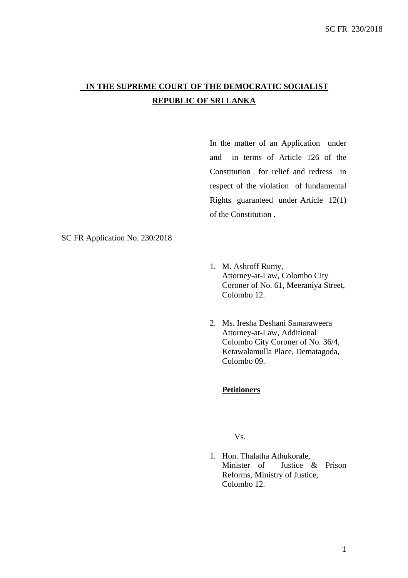# **IN THE SUPREME COURT OF THE DEMOCRATIC SOCIALIST REPUBLIC OF SRI LANKA**

In the matter of an Application under and in terms of Article 126 of the Constitution for relief and redress in respect of the violation of fundamental Rights guaranteed under Article 12(1) of the Constitution .

# SC FR Application No. 230/2018

- 1. M. Ashroff Rumy, Attorney-at-Law, Colombo City Coroner of No. 61, Meeraniya Street, Colombo 12.
- 2. Ms. Iresha Deshani Samaraweera Attorney-at-Law, Additional Colombo City Coroner of No. 36/4, Ketawalamulla Place, Dematagoda, Colombo 09.

# **Petitioners**

# Vs.

1. Hon. Thalatha Athukorale, Minister of Justice & Prison Reforms, Ministry of Justice, Colombo 12.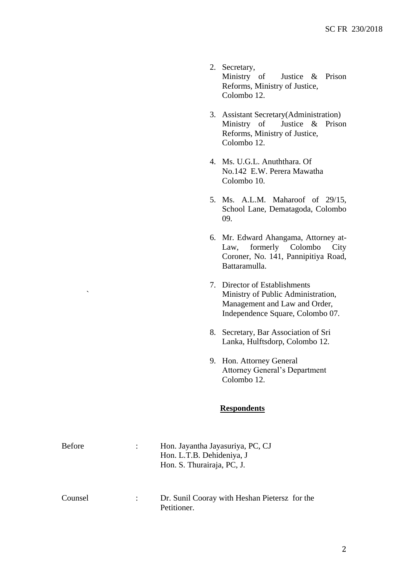- 2. Secretary,<br>Ministry of Justice & Prison Reforms, Ministry of Justice, Colombo 12.
- 3. Assistant Secretary(Administration) Ministry of Justice & Prison Reforms, Ministry of Justice, Colombo 12.
- 4. Ms. U.G.L. Anuththara. Of No.142 E.W. Perera Mawatha Colombo 10.
- 5. Ms. A.L.M. Maharoof of 29/15, School Lane, Dematagoda, Colombo 09.
- 6. Mr. Edward Ahangama, Attorney at-Law, formerly Colombo City Coroner, No. 141, Pannipitiya Road, Battaramulla.
- 7. Director of Establishments ` Ministry of Public Administration, Management and Law and Order, Independence Square, Colombo 07.
- 8. Secretary, Bar Association of Sri Lanka, Hulftsdorp, Colombo 12.
- 9. Hon. Attorney General Attorney General's Department Colombo 12.

# **Respondents**

| <b>Before</b> | Hon. Jayantha Jayasuriya, PC, CJ<br>Hon. L.T.B. Dehideniya, J<br>Hon. S. Thurairaja, PC, J. |
|---------------|---------------------------------------------------------------------------------------------|
| Counsel       | Dr. Sunil Cooray with Heshan Pietersz for the<br>Petitioner.                                |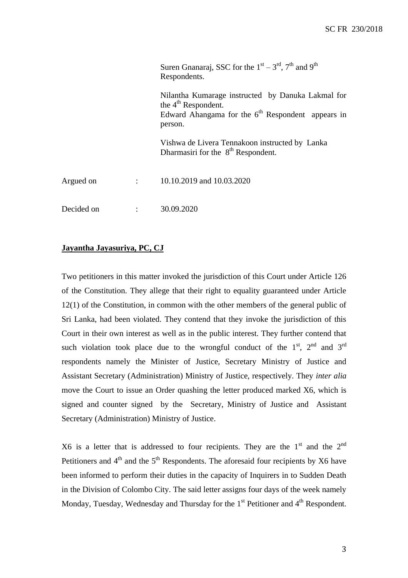|            | Suren Gnanaraj, SSC for the $1st - 3rd$ , $7th$ and $9th$<br>Respondents.                                                                    |
|------------|----------------------------------------------------------------------------------------------------------------------------------------------|
|            | Nilantha Kumarage instructed by Danuka Lakmal for<br>the $4th$ Respondent.<br>Edward Ahangama for the $6th$ Respondent appears in<br>person. |
|            | Vishwa de Livera Tennakoon instructed by Lanka<br>Dharmasiri for the $8th$ Respondent.                                                       |
| Argued on  | $\therefore$ 10.10.2019 and 10.03.2020                                                                                                       |
| Decided on | 30.09.2020                                                                                                                                   |

# **Jayantha Jayasuriya, PC, CJ**

Two petitioners in this matter invoked the jurisdiction of this Court under Article 126 of the Constitution. They allege that their right to equality guaranteed under Article 12(1) of the Constitution, in common with the other members of the general public of Sri Lanka, had been violated. They contend that they invoke the jurisdiction of this Court in their own interest as well as in the public interest. They further contend that such violation took place due to the wrongful conduct of the  $1<sup>st</sup>$ ,  $2<sup>nd</sup>$  and  $3<sup>rd</sup>$ respondents namely the Minister of Justice, Secretary Ministry of Justice and Assistant Secretary (Administration) Ministry of Justice, respectively. They *inter alia* move the Court to issue an Order quashing the letter produced marked X6, which is signed and counter signed by the Secretary, Ministry of Justice and Assistant Secretary (Administration) Ministry of Justice.

 $X6$  is a letter that is addressed to four recipients. They are the  $1<sup>st</sup>$  and the  $2<sup>nd</sup>$ Petitioners and  $4<sup>th</sup>$  and the  $5<sup>th</sup>$  Respondents. The aforesaid four recipients by X6 have been informed to perform their duties in the capacity of Inquirers in to Sudden Death in the Division of Colombo City. The said letter assigns four days of the week namely Monday, Tuesday, Wednesday and Thursday for the 1<sup>st</sup> Petitioner and 4<sup>th</sup> Respondent.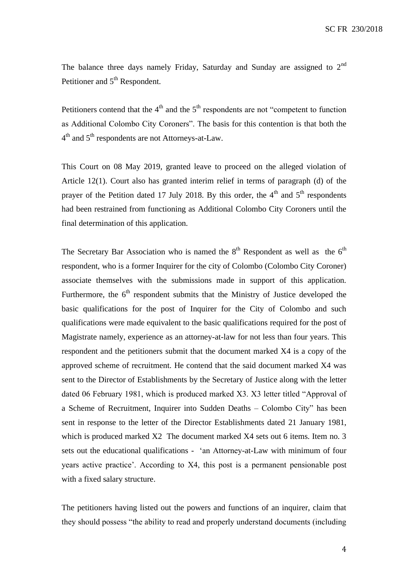The balance three days namely Friday, Saturday and Sunday are assigned to  $2<sup>nd</sup>$ Petitioner and 5<sup>th</sup> Respondent.

Petitioners contend that the  $4<sup>th</sup>$  and the  $5<sup>th</sup>$  respondents are not "competent to function" as Additional Colombo City Coroners". The basis for this contention is that both the 4<sup>th</sup> and 5<sup>th</sup> respondents are not Attorneys-at-Law.

This Court on 08 May 2019, granted leave to proceed on the alleged violation of Article 12(1). Court also has granted interim relief in terms of paragraph (d) of the prayer of the Petition dated 17 July 2018. By this order, the  $4<sup>th</sup>$  and  $5<sup>th</sup>$  respondents had been restrained from functioning as Additional Colombo City Coroners until the final determination of this application.

The Secretary Bar Association who is named the  $8<sup>th</sup>$  Respondent as well as the  $6<sup>th</sup>$ respondent, who is a former Inquirer for the city of Colombo (Colombo City Coroner) associate themselves with the submissions made in support of this application. Furthermore, the  $6<sup>th</sup>$  respondent submits that the Ministry of Justice developed the basic qualifications for the post of Inquirer for the City of Colombo and such qualifications were made equivalent to the basic qualifications required for the post of Magistrate namely, experience as an attorney-at-law for not less than four years. This respondent and the petitioners submit that the document marked X4 is a copy of the approved scheme of recruitment. He contend that the said document marked X4 was sent to the Director of Establishments by the Secretary of Justice along with the letter dated 06 February 1981, which is produced marked X3. X3 letter titled "Approval of a Scheme of Recruitment, Inquirer into Sudden Deaths – Colombo City" has been sent in response to the letter of the Director Establishments dated 21 January 1981, which is produced marked X2 The document marked X4 sets out 6 items. Item no. 3 sets out the educational qualifications - 'an Attorney-at-Law with minimum of four years active practice'. According to X4, this post is a permanent pensionable post with a fixed salary structure.

The petitioners having listed out the powers and functions of an inquirer, claim that they should possess "the ability to read and properly understand documents (including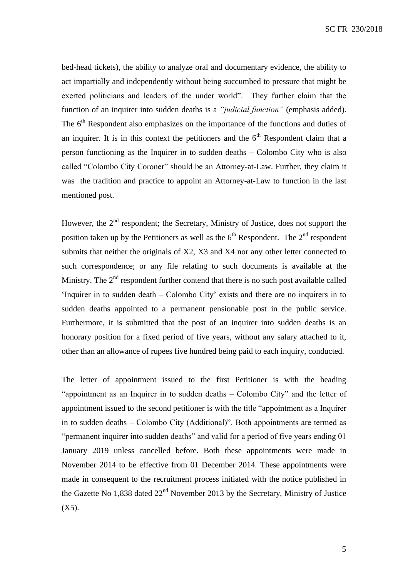SC FR 230/2018

bed-head tickets), the ability to analyze oral and documentary evidence, the ability to act impartially and independently without being succumbed to pressure that might be exerted politicians and leaders of the under world". They further claim that the function of an inquirer into sudden deaths is a *"judicial function"* (emphasis added). The  $6<sup>th</sup>$  Respondent also emphasizes on the importance of the functions and duties of an inquirer. It is in this context the petitioners and the  $6<sup>th</sup>$  Respondent claim that a person functioning as the Inquirer in to sudden deaths – Colombo City who is also called "Colombo City Coroner" should be an Attorney-at-Law. Further, they claim it was the tradition and practice to appoint an Attorney-at-Law to function in the last mentioned post.

However, the  $2<sup>nd</sup>$  respondent; the Secretary, Ministry of Justice, does not support the position taken up by the Petitioners as well as the  $6<sup>th</sup>$  Respondent. The  $2<sup>nd</sup>$  respondent submits that neither the originals of X2, X3 and X4 nor any other letter connected to such correspondence; or any file relating to such documents is available at the Ministry. The  $2<sup>nd</sup>$  respondent further contend that there is no such post available called 'Inquirer in to sudden death – Colombo City' exists and there are no inquirers in to sudden deaths appointed to a permanent pensionable post in the public service. Furthermore, it is submitted that the post of an inquirer into sudden deaths is an honorary position for a fixed period of five years, without any salary attached to it, other than an allowance of rupees five hundred being paid to each inquiry, conducted.

The letter of appointment issued to the first Petitioner is with the heading "appointment as an Inquirer in to sudden deaths – Colombo City" and the letter of appointment issued to the second petitioner is with the title "appointment as a Inquirer in to sudden deaths – Colombo City (Additional)". Both appointments are termed as "permanent inquirer into sudden deaths" and valid for a period of five years ending 01 January 2019 unless cancelled before. Both these appointments were made in November 2014 to be effective from 01 December 2014. These appointments were made in consequent to the recruitment process initiated with the notice published in the Gazette No 1,838 dated 22nd November 2013 by the Secretary, Ministry of Justice  $(X5)$ .

5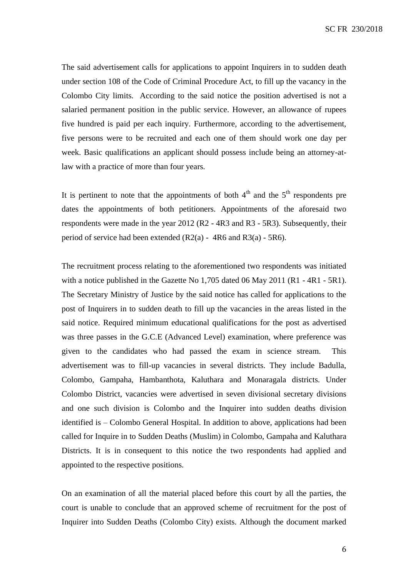The said advertisement calls for applications to appoint Inquirers in to sudden death under section 108 of the Code of Criminal Procedure Act, to fill up the vacancy in the Colombo City limits. According to the said notice the position advertised is not a salaried permanent position in the public service. However, an allowance of rupees five hundred is paid per each inquiry. Furthermore, according to the advertisement, five persons were to be recruited and each one of them should work one day per week. Basic qualifications an applicant should possess include being an attorney-atlaw with a practice of more than four years.

It is pertinent to note that the appointments of both  $4<sup>th</sup>$  and the  $5<sup>th</sup>$  respondents pre dates the appointments of both petitioners. Appointments of the aforesaid two respondents were made in the year 2012 (R2 - 4R3 and R3 - 5R3). Subsequently, their period of service had been extended  $(R2(a) - 4R6$  and  $R3(a) - 5R6$ .

The recruitment process relating to the aforementioned two respondents was initiated with a notice published in the Gazette No 1,705 dated 06 May 2011 (R1 - 4R1 - 5R1). The Secretary Ministry of Justice by the said notice has called for applications to the post of Inquirers in to sudden death to fill up the vacancies in the areas listed in the said notice. Required minimum educational qualifications for the post as advertised was three passes in the G.C.E (Advanced Level) examination, where preference was given to the candidates who had passed the exam in science stream. This advertisement was to fill-up vacancies in several districts. They include Badulla, Colombo, Gampaha, Hambanthota, Kaluthara and Monaragala districts. Under Colombo District, vacancies were advertised in seven divisional secretary divisions and one such division is Colombo and the Inquirer into sudden deaths division identified is – Colombo General Hospital. In addition to above, applications had been called for Inquire in to Sudden Deaths (Muslim) in Colombo, Gampaha and Kaluthara Districts. It is in consequent to this notice the two respondents had applied and appointed to the respective positions.

On an examination of all the material placed before this court by all the parties, the court is unable to conclude that an approved scheme of recruitment for the post of Inquirer into Sudden Deaths (Colombo City) exists. Although the document marked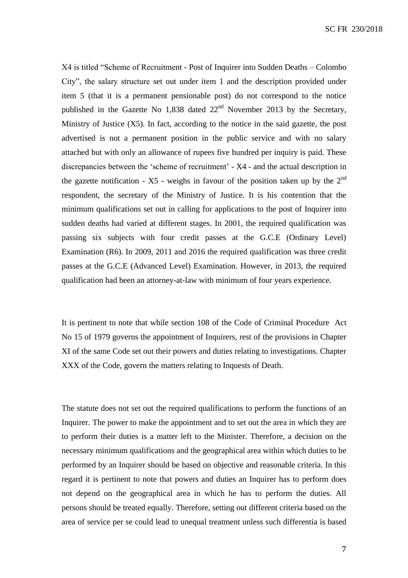X4 is titled "Scheme of Recruitment - Post of Inquirer into Sudden Deaths – Colombo City", the salary structure set out under item 1 and the description provided under item 5 (that it is a permanent pensionable post) do not correspond to the notice published in the Gazette No 1,838 dated  $22<sup>nd</sup>$  November 2013 by the Secretary, Ministry of Justice (X5). In fact, according to the notice in the said gazette, the post advertised is not a permanent position in the public service and with no salary attached but with only an allowance of rupees five hundred per inquiry is paid. These discrepancies between the 'scheme of recruitment' - X4 - and the actual description in the gazette notification -  $X5$  - weighs in favour of the position taken up by the  $2<sup>nd</sup>$ respondent, the secretary of the Ministry of Justice. It is his contention that the minimum qualifications set out in calling for applications to the post of Inquirer into sudden deaths had varied at different stages. In 2001, the required qualification was passing six subjects with four credit passes at the G.C.E (Ordinary Level) Examination (R6). In 2009, 2011 and 2016 the required qualification was three credit passes at the G.C.E (Advanced Level) Examination. However, in 2013, the required qualification had been an attorney-at-law with minimum of four years experience.

It is pertinent to note that while section 108 of the Code of Criminal Procedure Act No 15 of 1979 governs the appointment of Inquirers, rest of the provisions in Chapter XI of the same Code set out their powers and duties relating to investigations. Chapter XXX of the Code, govern the matters relating to Inquests of Death.

The statute does not set out the required qualifications to perform the functions of an Inquirer. The power to make the appointment and to set out the area in which they are to perform their duties is a matter left to the Minister. Therefore, a decision on the necessary minimum qualifications and the geographical area within which duties to be performed by an Inquirer should be based on objective and reasonable criteria. In this regard it is pertinent to note that powers and duties an Inquirer has to perform does not depend on the geographical area in which he has to perform the duties. All persons should be treated equally. Therefore, setting out different criteria based on the area of service per se could lead to unequal treatment unless such differentia is based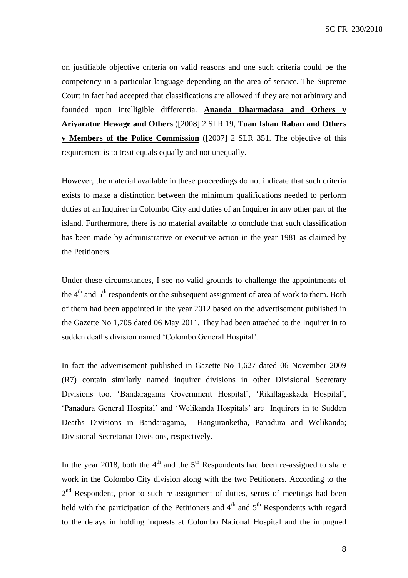on justifiable objective criteria on valid reasons and one such criteria could be the competency in a particular language depending on the area of service. The Supreme Court in fact had accepted that classifications are allowed if they are not arbitrary and founded upon intelligible differentia. **Ananda Dharmadasa and Others v Ariyaratne Hewage and Others** ([2008] 2 SLR 19, **Tuan Ishan Raban and Others v Members of the Police Commission** ([2007] 2 SLR 351. The objective of this requirement is to treat equals equally and not unequally.

However, the material available in these proceedings do not indicate that such criteria exists to make a distinction between the minimum qualifications needed to perform duties of an Inquirer in Colombo City and duties of an Inquirer in any other part of the island. Furthermore, there is no material available to conclude that such classification has been made by administrative or executive action in the year 1981 as claimed by the Petitioners.

Under these circumstances, I see no valid grounds to challenge the appointments of the  $4<sup>th</sup>$  and  $5<sup>th</sup>$  respondents or the subsequent assignment of area of work to them. Both of them had been appointed in the year 2012 based on the advertisement published in the Gazette No 1,705 dated 06 May 2011. They had been attached to the Inquirer in to sudden deaths division named 'Colombo General Hospital'.

In fact the advertisement published in Gazette No 1,627 dated 06 November 2009 (R7) contain similarly named inquirer divisions in other Divisional Secretary Divisions too. 'Bandaragama Government Hospital', 'Rikillagaskada Hospital', 'Panadura General Hospital' and 'Welikanda Hospitals' are Inquirers in to Sudden Deaths Divisions in Bandaragama, Hanguranketha, Panadura and Welikanda; Divisional Secretariat Divisions, respectively.

In the year 2018, both the  $4<sup>th</sup>$  and the  $5<sup>th</sup>$  Respondents had been re-assigned to share work in the Colombo City division along with the two Petitioners. According to the 2<sup>nd</sup> Respondent, prior to such re-assignment of duties, series of meetings had been held with the participation of the Petitioners and  $4<sup>th</sup>$  and  $5<sup>th</sup>$  Respondents with regard to the delays in holding inquests at Colombo National Hospital and the impugned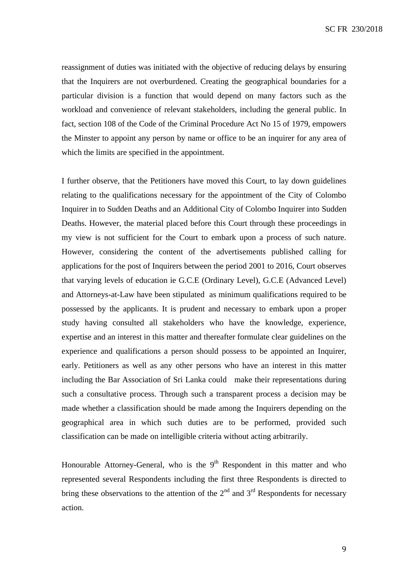reassignment of duties was initiated with the objective of reducing delays by ensuring that the Inquirers are not overburdened. Creating the geographical boundaries for a particular division is a function that would depend on many factors such as the workload and convenience of relevant stakeholders, including the general public. In fact, section 108 of the Code of the Criminal Procedure Act No 15 of 1979, empowers the Minster to appoint any person by name or office to be an inquirer for any area of which the limits are specified in the appointment.

I further observe, that the Petitioners have moved this Court, to lay down guidelines relating to the qualifications necessary for the appointment of the City of Colombo Inquirer in to Sudden Deaths and an Additional City of Colombo Inquirer into Sudden Deaths. However, the material placed before this Court through these proceedings in my view is not sufficient for the Court to embark upon a process of such nature. However, considering the content of the advertisements published calling for applications for the post of Inquirers between the period 2001 to 2016, Court observes that varying levels of education ie G.C.E (Ordinary Level), G.C.E (Advanced Level) and Attorneys-at-Law have been stipulated as minimum qualifications required to be possessed by the applicants. It is prudent and necessary to embark upon a proper study having consulted all stakeholders who have the knowledge, experience, expertise and an interest in this matter and thereafter formulate clear guidelines on the experience and qualifications a person should possess to be appointed an Inquirer, early. Petitioners as well as any other persons who have an interest in this matter including the Bar Association of Sri Lanka could make their representations during such a consultative process. Through such a transparent process a decision may be made whether a classification should be made among the Inquirers depending on the geographical area in which such duties are to be performed, provided such classification can be made on intelligible criteria without acting arbitrarily.

Honourable Attorney-General, who is the  $9<sup>th</sup>$  Respondent in this matter and who represented several Respondents including the first three Respondents is directed to bring these observations to the attention of the  $2<sup>nd</sup>$  and  $3<sup>rd</sup>$  Respondents for necessary action.